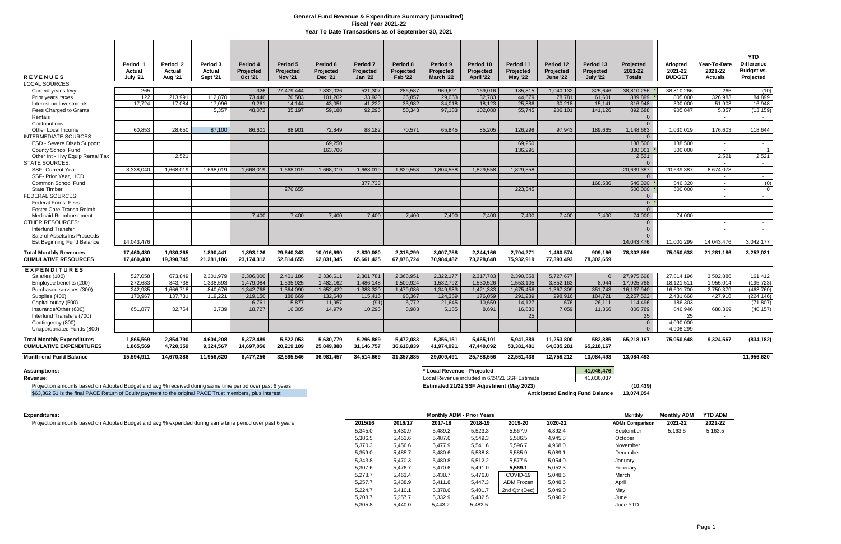| <b>REVENUES</b><br><b>LOCAL SOURCES:</b>                     | Period 1<br>Actual<br><b>July '21</b> | Period <sub>2</sub><br>Actual<br>Aug '21 | Period 3<br>Actual<br>Sept '21 | Period 4<br>Projected<br><b>Oct '21</b> | Period 5<br>Projected<br><b>Nov '21</b> | Period 6<br>Projected<br><b>Dec '21</b> | Period <sub>7</sub><br>Projected<br><b>Jan '22</b> | Period 8<br>Projected<br><b>Feb '22</b> | Period 9<br>Projected<br>March '22 | Period 10<br>Projected<br>April '22 | Period 11<br>Projected<br><b>May '22</b> | Period 12<br>Projected<br><b>June '22</b> | Period 13<br>Projected<br><b>July '22</b> | Projected<br>2021-22<br><b>Totals</b> | Adopted<br>2021-22<br><b>BUDGET</b> | Year-To-Date<br>2021-22<br><b>Actuals</b> | <b>YTD</b><br><b>Difference</b><br>Budget vs.<br>Projected |
|--------------------------------------------------------------|---------------------------------------|------------------------------------------|--------------------------------|-----------------------------------------|-----------------------------------------|-----------------------------------------|----------------------------------------------------|-----------------------------------------|------------------------------------|-------------------------------------|------------------------------------------|-------------------------------------------|-------------------------------------------|---------------------------------------|-------------------------------------|-------------------------------------------|------------------------------------------------------------|
| Current year's levy                                          | 265                                   |                                          |                                | 326                                     | 27.479.444                              | 7.832.026                               | 521.307                                            | 286.587                                 | 969.691                            | 169.016                             | 185.815                                  | 1.040.132                                 | 325.646                                   | 38.810.256                            | 38.810.266                          | 265                                       | (10)                                                       |
| Prior years' taxes                                           | 122                                   | 213,991                                  | 112,870                        | 73,446                                  | 70,583                                  | 101,202                                 | 33,920                                             | 36,857                                  | 29,063                             | 32,783                              | 44,679                                   | 78,781                                    | 61,601                                    | 889,899                               | 805,000                             | 326,983                                   | 84,899                                                     |
| Interest on Investments                                      | 17.724                                | 17.084                                   | 17,096                         | 9,261                                   | 14.144                                  | 43,051                                  | 41,222                                             | 33,982                                  | 34,018                             | 18,123                              | 25,886                                   | 30.218                                    | 15,141                                    | 316,948                               | 300.000                             | 51,903                                    | 16,948                                                     |
| Fees Charged to Grants                                       |                                       |                                          | 5.357                          | 48,072                                  | 35,197                                  | 59,188                                  | 92.296                                             | 50,343                                  | 97,183                             | 102,080                             | 55,745                                   | 206,101                                   | 141,126                                   | 892,688                               | 905.847                             | 5,357                                     | (13, 159)                                                  |
| Rentals                                                      |                                       |                                          |                                |                                         |                                         |                                         |                                                    |                                         |                                    |                                     |                                          |                                           |                                           | $\Omega$                              |                                     | $\sim$                                    | $\sim$ $-$                                                 |
| Contributions                                                |                                       |                                          |                                |                                         |                                         |                                         |                                                    |                                         |                                    |                                     |                                          |                                           |                                           | $\Omega$                              |                                     |                                           | $\sim$                                                     |
| Other Local Income                                           | 60.853                                | 28.650                                   | 87.100                         | 86.601                                  | 88.901                                  | 72.849                                  | 88.182                                             | 70.571                                  | 65.845                             | 85,205                              | 126.298                                  | 97.943                                    | 189.665                                   | 1.148.663                             | 1.030.019                           | 176.603                                   | 118.644                                                    |
| <b>INTERMEDIATE SOURCES:</b>                                 |                                       |                                          |                                |                                         |                                         |                                         |                                                    |                                         |                                    |                                     |                                          |                                           |                                           | $\Omega$                              |                                     | $\sim$                                    | $\sim$                                                     |
| <b>ESD - Severe Disab Support</b>                            |                                       |                                          |                                |                                         |                                         | 69.250                                  |                                                    |                                         |                                    |                                     | 69.250                                   |                                           |                                           | 138,500                               | 138.500                             | $\sim$                                    | $\sim$                                                     |
| County School Fund                                           |                                       |                                          |                                |                                         |                                         | 163.706                                 |                                                    |                                         |                                    |                                     | 136.295                                  |                                           |                                           | 300.001                               | 300,000                             | $\sim$                                    | $\overline{1}$                                             |
| Other Int - Hvy Equip Rental Tax                             |                                       | 2.521                                    |                                |                                         |                                         |                                         |                                                    |                                         |                                    |                                     |                                          |                                           |                                           | 2,521                                 |                                     | 2.521                                     | 2,521                                                      |
| <b>STATE SOURCES:</b>                                        |                                       |                                          |                                |                                         |                                         |                                         |                                                    |                                         |                                    |                                     |                                          |                                           |                                           | $\Omega$                              |                                     | $\sim$                                    | $\sim$                                                     |
| <b>SSF- Current Year</b>                                     | 3,338,040                             | 1,668,019                                | 1,668,019                      | 1,668,019                               | 1,668,019                               | 1,668,019                               | 1,668,019                                          | 1,829,558                               | 1,804,558                          | 1,829,558                           | 1,829,558                                |                                           |                                           | 20,639,387                            | 20,639,387                          | 6,674,078                                 | $\sim$                                                     |
| SSF- Prior Year, HCD<br>Common School Fund                   |                                       |                                          |                                |                                         |                                         |                                         | 377,733                                            |                                         |                                    |                                     |                                          |                                           | 168.586                                   | $\overline{0}$<br>546,320             | 546.320                             | $\sim$<br>$\sim$                          | $\sim$ $-$<br>(0)                                          |
| <b>State Timber</b>                                          |                                       |                                          |                                |                                         | 276,655                                 |                                         |                                                    |                                         |                                    |                                     | 223,345                                  |                                           |                                           | 500,000                               | 500.000                             | $\sim$                                    | $\Omega$                                                   |
| FEDERAL SOURCES:                                             |                                       |                                          |                                |                                         |                                         |                                         |                                                    |                                         |                                    |                                     |                                          |                                           |                                           | $\overline{0}$                        |                                     | $\sim$                                    | $\sim$ $-$                                                 |
| <b>Federal Forest Fees</b>                                   |                                       |                                          |                                |                                         |                                         |                                         |                                                    |                                         |                                    |                                     |                                          |                                           |                                           | $0^+$                                 |                                     | $\sim$                                    | $\sim$ $-$                                                 |
| <b>Foster Care Transp Reimb</b>                              |                                       |                                          |                                |                                         |                                         |                                         |                                                    |                                         |                                    |                                     |                                          |                                           |                                           | $\Omega$                              |                                     | $\sim$                                    |                                                            |
| <b>Medicaid Reimbursement</b>                                |                                       |                                          |                                | 7.400                                   | 7.400                                   | 7.400                                   | 7.400                                              | 7.400                                   | 7.400                              | 7.400                               | 7.400                                    | 7.400                                     | 7.400                                     | 74.000                                | 74.000                              | $\sim$ $-$                                |                                                            |
| <b>OTHER RESOURCES:</b>                                      |                                       |                                          |                                |                                         |                                         |                                         |                                                    |                                         |                                    |                                     |                                          |                                           |                                           | $\overline{0}$                        |                                     | $\sim$                                    | $\sim$                                                     |
| <b>Interfund Transfer</b>                                    |                                       |                                          |                                |                                         |                                         |                                         |                                                    |                                         |                                    |                                     |                                          |                                           |                                           | $\overline{0}$                        |                                     | $\sim$                                    | $\sim$ $-$                                                 |
| Sale of Assets/Ins Proceeds                                  |                                       |                                          |                                |                                         |                                         |                                         |                                                    |                                         |                                    |                                     |                                          |                                           |                                           | $\overline{0}$                        |                                     | $\sim$                                    | $\sim$ $-$                                                 |
| Est Beginning Fund Balance                                   | 14,043,476                            |                                          |                                |                                         |                                         |                                         |                                                    |                                         |                                    |                                     |                                          |                                           |                                           | 14.043.476                            | 11.001.299                          | 14.043.476                                | 3,042,177                                                  |
| Total Monthly Revenues<br><b>CUMULATIVE RESOURCES</b>        | 17.460.480<br>17,460,480              | 1.930.265<br>19.390.745                  | 1,890,441<br>21,281,186        | 1.893.126<br>23,174,312                 | 29.640.343<br>52,814,655                | 10.016.690<br>62,831,345                | 2.830.080<br>65,661,425                            | 2.315.299<br>67,976,724                 | 3.007.758<br>70,984,482            | 2.244.166<br>73,228,648             | 2.704.271<br>75,932,919                  | 1.460.574<br>77,393,493                   | 909.166<br>78,302,659                     | 78,302,659                            | 75,050,638                          | 21,281,186                                | 3,252,021                                                  |
| <b>EXPENDITURES</b>                                          |                                       |                                          |                                |                                         |                                         |                                         |                                                    |                                         |                                    |                                     |                                          |                                           |                                           |                                       |                                     |                                           |                                                            |
| Salaries (100)                                               | 527.058                               | 673.849                                  | 2,301,979                      | 2,306,000                               | 2.401.186                               | 2,336,611                               | 2,301,781                                          | 2.368.951                               | 2,322,177                          | 2,317,783                           | 2,390,558                                | 5.727.677                                 | $\Omega$                                  | 27,975,608                            | 27,814,196                          | 3.502.886                                 | 161,412                                                    |
| Employee benefits (200)                                      | 272.683                               | 343.738                                  | 1.338.593                      | 1.479.084                               | 1.535.925                               | 1.482.162                               | 1.486.148                                          | 1.509.924                               | 1.532.792                          | 1.530.526                           | 1.553.105                                | 3.852.163                                 | 8.944                                     | 17.925.788                            | 18.121.511                          | 1.955.014                                 | (195.723)                                                  |
| Purchased services (300)                                     | 242,985                               | 1,666,718                                | 840.676                        | 1,342,768                               | 1,364,090                               | 1,652,422                               | 1,383,320                                          | 1,479,086                               | 1,349,983                          | 1,421,383                           | 1,675,456                                | 1,367,309                                 | 351,743                                   | 16,137,940                            | 16,601,700                          | 2,750,379                                 | (463,760)                                                  |
| Supplies (400)                                               | 170.967                               | 137.731                                  | 119.221                        | 219,150                                 | 188.669                                 | 132.648                                 | 115.416                                            | 98,367                                  | 124.369                            | 176.059                             | 291.289                                  | 298.916                                   | 184.721                                   | 2.257.522                             | 2.481.668                           | 427.918                                   | (224.146)                                                  |
| Capital outlay (500)                                         |                                       |                                          |                                | 6.761                                   | 15.877                                  | 11.957                                  | (91)                                               | 6.772                                   | 21.645                             | 10.659                              | 14.127                                   | 676                                       | 26.111                                    | 114,496                               | 186.303                             | $\sim$ $-$                                | (71.807)                                                   |
| Insurance/Other (600)                                        | 651.877                               | 32,754                                   | 3.739                          | 18.727                                  | 16.305                                  | 14.979                                  | 10.295                                             | 8.983                                   | 5.185                              | 8,691                               | 16,830                                   | 7.059                                     | 11,366                                    | 806,789                               | 846.946                             | 688,369                                   | (40, 157)                                                  |
| Interfund Transfers (700)                                    |                                       |                                          |                                |                                         |                                         |                                         |                                                    |                                         |                                    |                                     | 25                                       |                                           |                                           | 25                                    | 25                                  | $\sim$                                    |                                                            |
| Contingency (800)                                            |                                       |                                          |                                |                                         |                                         |                                         |                                                    |                                         |                                    |                                     |                                          |                                           |                                           | $\overline{0}$                        | 4,090,000                           | $\sim$                                    |                                                            |
| Unappropriated Funds (800)                                   |                                       |                                          |                                |                                         |                                         |                                         |                                                    |                                         |                                    |                                     |                                          |                                           |                                           | $\overline{0}$                        | 4,908,299                           | $\sim$                                    |                                                            |
| Total Monthlv Expenditures<br><b>CUMULATIVE EXPENDITURES</b> | 1,865,569<br>1,865,569                | 2,854,790<br>4,720,359                   | 4,604,208<br>9,324,567         | 5,372,489<br>14,697,056                 | 5,522,053<br>20,219,109                 | 5,630,779<br>25,849,888                 | 5,296,869<br>31,146,757                            | 5,472,083<br>36,618,839                 | 5,356,151<br>41,974,991            | 5.465.101<br>47,440,092             | 5.941.389<br>53,381,481                  | 11,253,800<br>64,635,281                  | 582,885<br>65,218,167                     | 65,218,167                            | 75,050,648                          | 9,324,567                                 | (834, 182)                                                 |
| <b>Month-end Fund Balance</b>                                | 15.594.911                            | 14,670,386                               | 11,956,620                     | 8,477,256                               | 32.595.546                              | 36,981,457                              | 34.514.669                                         | 31.357.885                              | 29.009.491                         | 25.788.556                          | 22.551.438                               | 12.758.212                                | 13.084.493                                | 13.084.493                            |                                     |                                           | 11.956.620                                                 |
| <b>Assumptions:</b>                                          |                                       |                                          |                                |                                         |                                         |                                         |                                                    |                                         | * Local Revenue - Projected        |                                     |                                          |                                           | 41.046.476                                |                                       |                                     |                                           |                                                            |

## Revenue: **Revenue: Local Revenue included in 6/24/21 SSF Estimate** 41,036,037

Projection amounts based on Adopted Budget and avg % received during same time period over past 6 years **Estimated 21/22 SSF Adjustment (May 2023)** (10,439) \$63,362.51 is the final PACE Return of Equity payment to the original PACE Trust members, plus interest **Anticipated Ending Fund Balance 13,074,054** 

| Expenditures:                                                                                           |         |         |         | <b>Monthly ADM - Prior Years</b> |               |         | Monthly                | <b>Monthly ADM</b> | <b>YTD ADM</b> |
|---------------------------------------------------------------------------------------------------------|---------|---------|---------|----------------------------------|---------------|---------|------------------------|--------------------|----------------|
| Projection amounts based on Adopted Budget and avg % expended during same time period over past 6 years | 2015/16 | 2016/17 | 2017-18 | 2018-19                          | 2019-20       | 2020-21 | <b>ADMr Comparison</b> | 2021-22            | 2021-22        |
|                                                                                                         | 5,345.0 | 5,430.9 | 5,489.2 | 5,523.3                          | 5,567.9       | 4,892.4 | September              | 5,163.5            | 5,163.5        |
|                                                                                                         | 5,386.5 | 5,451.6 | 5,487.6 | 5,549.3                          | 5,586.5       | 4,945.8 | October                |                    |                |
|                                                                                                         | 5,370.3 | 5,456.6 | 5,477.9 | 5,541.6                          | 5,596.7       | 4,968.0 | November               |                    |                |
|                                                                                                         | 5,359.0 | 5,485.7 | 5,480.6 | 5,538.8                          | 5,585.9       | 5,089.1 | December               |                    |                |
|                                                                                                         | 5,343.8 | 5,470.3 | 5,480.8 | 5,512.2                          | 5,577.6       | 5,054.0 | January                |                    |                |
|                                                                                                         | 5,307.6 | 5,476.7 | 5,470.6 | 5,491.0                          | 5,569.1       | 5,052.3 | February               |                    |                |
|                                                                                                         | 5,278.7 | 5,463.4 | 5,438.7 | 5,476.0                          | COVID-19      | 5,048.6 | March                  |                    |                |
|                                                                                                         | 5,257.7 | 5,438.9 | 5,411.8 | 5,447.3                          | ADM Frozen    | 5,048.6 | April                  |                    |                |
|                                                                                                         | 5,224.7 | 5,410.1 | 5,378.6 | 5,401.7                          | 2nd Qtr (Dec) | 5,049.0 | May                    |                    |                |
|                                                                                                         | 5,208.7 | 5,357.7 | 5,332.9 | 5,482.5                          |               | 5,090.2 | June                   |                    |                |
|                                                                                                         | 5,305.8 | 5,440.0 | 5,443.2 | 5,482.5                          |               |         | June YTD               |                    |                |

## **General Fund Revenue & Expenditure Summary (Unaudited) Fiscal Year 2021-22 Year To Date Transactions as of September 30, 2021**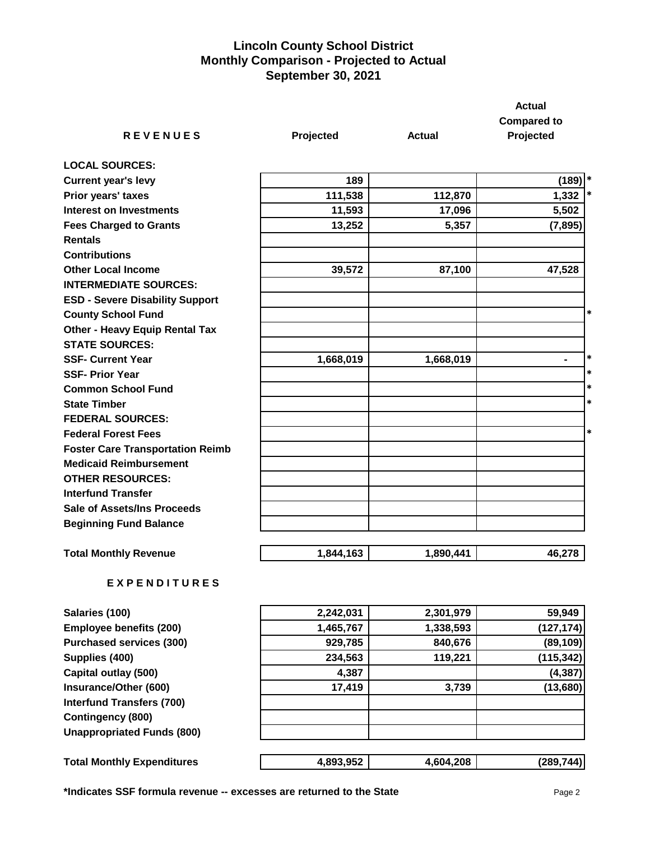## **Lincoln County School District Monthly Comparison - Projected to Actual September 30, 2021**

|                                         |           |               | <b>Actual</b>                   |
|-----------------------------------------|-----------|---------------|---------------------------------|
| <b>REVENUES</b>                         | Projected | <b>Actual</b> | <b>Compared to</b><br>Projected |
| <b>LOCAL SOURCES:</b>                   |           |               |                                 |
| <b>Current year's levy</b>              | 189       |               | $(189)$ <sup>*</sup>            |
| Prior years' taxes                      | 111,538   | 112,870       | $\ast$<br>1,332                 |
| <b>Interest on Investments</b>          | 11,593    | 17,096        | 5,502                           |
| <b>Fees Charged to Grants</b>           | 13,252    | 5,357         | (7, 895)                        |
| <b>Rentals</b>                          |           |               |                                 |
| <b>Contributions</b>                    |           |               |                                 |
| <b>Other Local Income</b>               | 39,572    | 87,100        | 47,528                          |
| <b>INTERMEDIATE SOURCES:</b>            |           |               |                                 |
| <b>ESD - Severe Disability Support</b>  |           |               |                                 |
| <b>County School Fund</b>               |           |               | $\ast$                          |
| <b>Other - Heavy Equip Rental Tax</b>   |           |               |                                 |
| <b>STATE SOURCES:</b>                   |           |               |                                 |
| <b>SSF- Current Year</b>                | 1,668,019 | 1,668,019     | $\ast$<br>$\blacksquare$        |
| <b>SSF-Prior Year</b>                   |           |               | $\ast$                          |
| <b>Common School Fund</b>               |           |               | $\ast$                          |
| <b>State Timber</b>                     |           |               | $\ast$                          |
| <b>FEDERAL SOURCES:</b>                 |           |               |                                 |
| <b>Federal Forest Fees</b>              |           |               | $\ast$                          |
| <b>Foster Care Transportation Reimb</b> |           |               |                                 |
| <b>Medicaid Reimbursement</b>           |           |               |                                 |
| <b>OTHER RESOURCES:</b>                 |           |               |                                 |
| <b>Interfund Transfer</b>               |           |               |                                 |
| <b>Sale of Assets/Ins Proceeds</b>      |           |               |                                 |
| <b>Beginning Fund Balance</b>           |           |               |                                 |
| <b>Total Monthly Revenue</b>            | 1,844,163 | 1,890,441     | 46,278                          |
| <b>EXPENDITURES</b>                     |           |               |                                 |
| Salaries (100)                          | 2,242,031 | 2,301,979     | 59,949                          |
| <b>Employee benefits (200)</b>          | 1,465,767 | 1,338,593     | (127, 174)                      |
| <b>Purchased services (300)</b>         | 929,785   | 840,676       | (89, 109)                       |
| Supplies (400)                          | 234,563   | 119,221       | (115, 342)                      |
|                                         |           |               |                                 |

**Capital outlay (500) 4,387 (4,387) Insurance/Other (600) 17,419 3,739 (13,680) Interfund Transfers (700) Contingency (800) Unappropriated Funds (800)**

Total Monthly Expenditures  $\begin{bmatrix} \begin{bmatrix} 1 & 0 \\ 0 & 1 \end{bmatrix} & \begin{bmatrix} 0 & 0 \\ 0 & 1 \end{bmatrix} & \begin{bmatrix} 0 & 0 \\ 0 & 1 \end{bmatrix} & \begin{bmatrix} 0 & 0 \\ 0 & 1 \end{bmatrix} & \begin{bmatrix} 0 & 0 \\ 0 & 1 \end{bmatrix} & \begin{bmatrix} 0 & 0 \\ 0 & 1 \end{bmatrix} & \begin{bmatrix} 0 & 0 \\ 0 & 1 \end{bmatrix} & \begin{bmatrix} 0 & 0 \\ 0 & 1 \end{$ 

| 2,242,031 | 2,301,979 | 59,949     |
|-----------|-----------|------------|
| 1,465,767 | 1,338,593 | (127, 174) |
| 929,785   | 840,676   | (89, 109)  |
| 234,563   | 119,221   | (115, 342) |
| 4,387     |           | (4, 387)   |
| 17,419    | 3,739     | (13,680)   |
|           |           |            |
|           |           |            |
|           |           |            |
|           |           |            |

| 4.893.952 | 4.604.208 | (289744) |
|-----------|-----------|----------|
|           |           |          |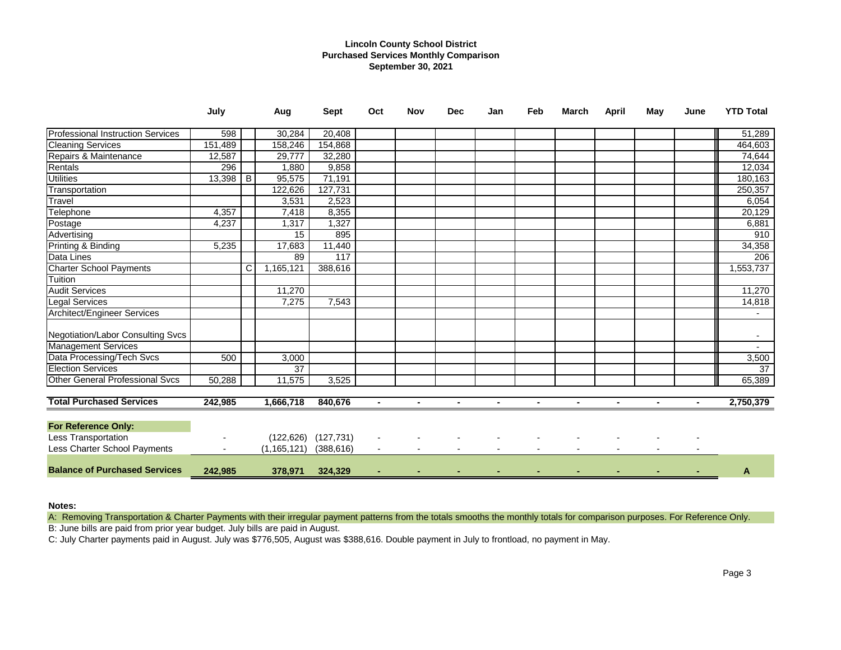## **Lincoln County School District Purchased Services Monthly Comparison September 30, 2021**

|                                        | July                     |   | Aug           | <b>Sept</b> | Oct            | <b>Nov</b> | <b>Dec</b>     | Jan            | Feb | <b>March</b> | <b>April</b> | May | June | <b>YTD Total</b>    |
|----------------------------------------|--------------------------|---|---------------|-------------|----------------|------------|----------------|----------------|-----|--------------|--------------|-----|------|---------------------|
| Professional Instruction Services      | 598                      |   | 30,284        | 20,408      |                |            |                |                |     |              |              |     |      | 51,289              |
| <b>Cleaning Services</b>               | 151,489                  |   | 158,246       | 154,868     |                |            |                |                |     |              |              |     |      | 464,603             |
| Repairs & Maintenance                  | 12,587                   |   | 29,777        | 32,280      |                |            |                |                |     |              |              |     |      | $\overline{74,644}$ |
| Rentals                                | 296                      |   | 1,880         | 9,858       |                |            |                |                |     |              |              |     |      | 12,034              |
| <b>Utilities</b>                       | 13,398                   | B | 95,575        | 71,191      |                |            |                |                |     |              |              |     |      | 180,163             |
| Transportation                         |                          |   | 122,626       | 127,731     |                |            |                |                |     |              |              |     |      | 250,357             |
| Travel                                 |                          |   | 3,531         | 2,523       |                |            |                |                |     |              |              |     |      | 6,054               |
| Telephone                              | 4,357                    |   | 7,418         | 8,355       |                |            |                |                |     |              |              |     |      | 20,129              |
| Postage                                | 4,237                    |   | 1,317         | 1,327       |                |            |                |                |     |              |              |     |      | 6,881               |
| Advertising                            |                          |   | 15            | 895         |                |            |                |                |     |              |              |     |      | 910                 |
| Printing & Binding                     | 5,235                    |   | 17,683        | 11,440      |                |            |                |                |     |              |              |     |      | 34,358              |
| Data Lines                             |                          |   | 89            | 117         |                |            |                |                |     |              |              |     |      | 206                 |
| <b>Charter School Payments</b>         |                          | C | 1,165,121     | 388,616     |                |            |                |                |     |              |              |     |      | 1,553,737           |
| Tuition                                |                          |   |               |             |                |            |                |                |     |              |              |     |      |                     |
| <b>Audit Services</b>                  |                          |   | 11,270        |             |                |            |                |                |     |              |              |     |      | 11,270              |
| <b>Legal Services</b>                  |                          |   | 7,275         | 7,543       |                |            |                |                |     |              |              |     |      | 14,818              |
| <b>Architect/Engineer Services</b>     |                          |   |               |             |                |            |                |                |     |              |              |     |      |                     |
| Negotiation/Labor Consulting Svcs      |                          |   |               |             |                |            |                |                |     |              |              |     |      | $\sim$              |
| <b>Management Services</b>             |                          |   |               |             |                |            |                |                |     |              |              |     |      |                     |
| Data Processing/Tech Svcs              | 500                      |   | 3,000         |             |                |            |                |                |     |              |              |     |      | 3,500               |
| <b>Election Services</b>               |                          |   | 37            |             |                |            |                |                |     |              |              |     |      | $\overline{37}$     |
| <b>Other General Professional Svcs</b> | 50,288                   |   | 11,575        | 3,525       |                |            |                |                |     |              |              |     |      | 65,389              |
| <b>Total Purchased Services</b>        | 242,985                  |   | 1,666,718     | 840,676     | ٠              |            | $\blacksquare$ | $\blacksquare$ |     |              |              |     |      | 2,750,379           |
| <b>For Reference Only:</b>             |                          |   |               |             |                |            |                |                |     |              |              |     |      |                     |
| Less Transportation                    |                          |   | (122, 626)    | (127, 731)  |                |            |                |                |     |              |              |     |      |                     |
| Less Charter School Payments           | $\overline{\phantom{a}}$ |   | (1, 165, 121) | (388, 616)  | $\blacksquare$ |            |                |                |     |              |              |     |      |                     |
| <b>Balance of Purchased Services</b>   | 242,985                  |   | 378,971       | 324,329     |                |            |                |                |     |              |              |     |      | A                   |

## **Notes:**

A: Removing Transportation & Charter Payments with their irregular payment patterns from the totals smooths the monthly totals for comparison purposes. For Reference Only.

B: June bills are paid from prior year budget. July bills are paid in August.

C: July Charter payments paid in August. July was \$776,505, August was \$388,616. Double payment in July to frontload, no payment in May.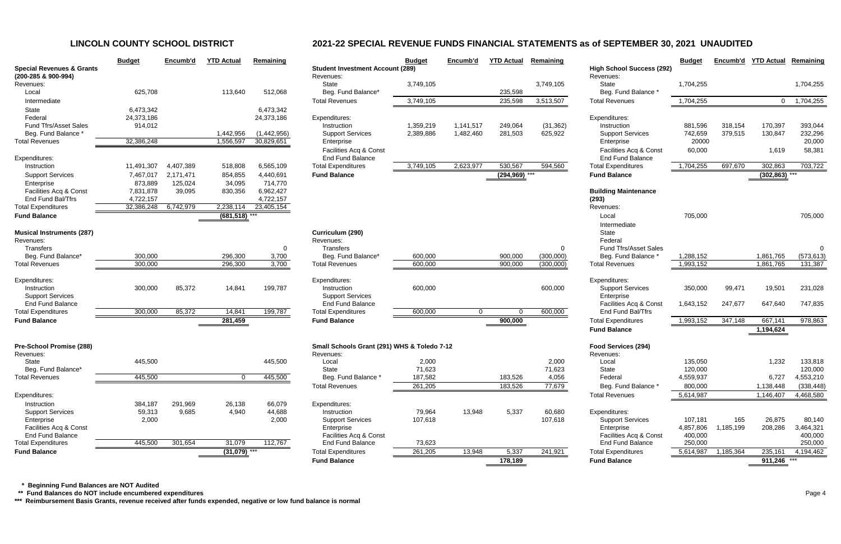|                                                             | <b>Budget</b>   | Encumb'd  | <b>YTD Actual</b> | Remaining           |                                  |
|-------------------------------------------------------------|-----------------|-----------|-------------------|---------------------|----------------------------------|
| <b>Special Revenues &amp; Grants</b><br>(200-285 & 900-994) |                 |           |                   |                     | <b>Student Inve</b><br>Revenues: |
| Revenues:                                                   |                 |           |                   |                     | <b>State</b>                     |
| Local                                                       | 625,708         |           | 113,640           | 512,068             | Beg. Func                        |
| Intermediate                                                |                 |           |                   |                     | <b>Total Revenue</b>             |
| <b>State</b>                                                | 6,473,342       |           |                   | 6,473,342           |                                  |
| Federal                                                     | 24,373,186      |           |                   | 24,373,186          | Expenditures:                    |
| <b>Fund Tfrs/Asset Sales</b>                                | 914,012         |           |                   |                     | Instruction                      |
| Beg. Fund Balance *                                         |                 |           | 1,442,956         | (1,442,956)         | Support S                        |
| <b>Total Revenues</b>                                       | 32,386,248      |           | 1,556,597         | 30,829,651          | Enterprise                       |
|                                                             |                 |           |                   |                     | Facilities /                     |
| Expenditures:                                               |                 |           |                   |                     | End Fund                         |
| Instruction                                                 | 11,491,307      | 4,407,389 | 518,808           | 6,565,109           | <b>Total Expendi</b>             |
| <b>Support Services</b>                                     | 7,467,017       | 2,171,471 | 854,855           | 4,440,691           | <b>Fund Balanc</b>               |
| Enterprise                                                  | 873,889         | 125,024   | 34,095            | 714,770             |                                  |
| Facilities Acq & Const                                      | 7,831,878       | 39,095    | 830,356           | 6,962,427           |                                  |
| End Fund Bal/Tfrs                                           | 4,722,157       |           |                   | 4,722,157           |                                  |
| <b>Total Expenditures</b>                                   | 32,386,248      | 6,742,979 | 2,238,114         | 23,405,154<br>$***$ |                                  |
| <b>Fund Balance</b>                                         |                 |           | (681, 518)        |                     |                                  |
| <b>Musical Instruments (287)</b>                            |                 |           |                   |                     | Curriculum (                     |
| Revenues:                                                   |                 |           |                   |                     | Revenues:                        |
| <b>Transfers</b>                                            |                 |           |                   | 0                   | <b>Transfers</b>                 |
| Beg. Fund Balance*                                          | 300,000         |           | 296,300           | 3,700               | Beg. Func                        |
| <b>Total Revenues</b>                                       | 300,000         |           | 296,300           | 3,700               | <b>Total Revenue</b>             |
| Expenditures:                                               |                 |           |                   |                     | Expenditures:                    |
| Instruction                                                 | 300,000         | 85,372    | 14,841            | 199,787             | Instruction                      |
| <b>Support Services</b>                                     |                 |           |                   |                     | Support S                        |
| <b>End Fund Balance</b>                                     |                 |           |                   |                     | End Fund                         |
| <b>Total Expenditures</b>                                   | 300,000         | 85,372    | 14,841            | 199,787             | <b>Total Expendi</b>             |
| <b>Fund Balance</b>                                         |                 |           | 281,459           |                     | <b>Fund Balanc</b>               |
|                                                             |                 |           |                   |                     |                                  |
| Pre-School Promise (288)                                    |                 |           |                   |                     | <b>Small Schoo</b>               |
| Revenues:                                                   |                 |           |                   |                     | Revenues:                        |
| <b>State</b>                                                | 445,500         |           |                   | 445,500             | Local                            |
| Beg. Fund Balance*                                          |                 |           |                   |                     | <b>State</b>                     |
| <b>Total Revenues</b>                                       | 445,500         |           | $\pmb{0}$         | 445,500             | Beg. Func                        |
| Expenditures:                                               |                 |           |                   |                     | <b>Total Revenu</b>              |
|                                                             |                 |           |                   |                     |                                  |
| Instruction                                                 | 384,187         | 291,969   | 26,138            | 66,079              | Expenditures:                    |
| <b>Support Services</b><br>Enterprise                       | 59,313<br>2,000 | 9,685     | 4,940             | 44,688<br>2,000     | Instruction<br>Support S         |
| Facilities Acq & Const                                      |                 |           |                   |                     | Enterprise                       |
| <b>End Fund Balance</b>                                     |                 |           |                   |                     | Facilities /                     |
| <b>Total Expenditures</b>                                   | 445,500         | 301,654   | 31,079            | 112,767             | End Fund                         |
| <b>Fund Balance</b>                                         |                 |           | (31,079)          | $***$               | <b>Total Expendi</b>             |
|                                                             |                 |           |                   |                     |                                  |

|                                                             | <b>Budget</b> | Encumb'd  | <b>YTD Actual</b> | Remaining   |                                                      | <b>Budget</b> | Encumb'd       | <b>YTD Actual</b>    | Remaining |                                               | <b>Budget</b> | Encumb'd  | <b>YTD Actual</b> | Remaining  |
|-------------------------------------------------------------|---------------|-----------|-------------------|-------------|------------------------------------------------------|---------------|----------------|----------------------|-----------|-----------------------------------------------|---------------|-----------|-------------------|------------|
| <b>Special Revenues &amp; Grants</b><br>(200-285 & 900-994) |               |           |                   |             | <b>Student Investment Account (289)</b><br>Revenues: |               |                |                      |           | <b>High School Success (292)</b><br>Revenues: |               |           |                   |            |
| Revenues:                                                   |               |           |                   |             | <b>State</b>                                         | 3,749,105     |                |                      | 3,749,105 | State                                         | 1,704,255     |           |                   | 1,704,255  |
| Local                                                       | 625,708       |           | 113,640           | 512,068     | Beg. Fund Balance*                                   |               |                | 235,598              |           | Beg. Fund Balance *                           |               |           |                   |            |
| Intermediate                                                |               |           |                   |             | <b>Total Revenues</b>                                | 3,749,105     |                | 235,598              | 3,513,507 | <b>Total Revenues</b>                         | 1,704,255     |           | $\overline{0}$    | 1,704,255  |
| State                                                       | 6,473,342     |           |                   | 6,473,342   |                                                      |               |                |                      |           |                                               |               |           |                   |            |
| Federal                                                     | 24,373,186    |           |                   | 24,373,186  | Expenditures:                                        |               |                |                      |           | Expenditures:                                 |               |           |                   |            |
| <b>Fund Tfrs/Asset Sales</b>                                | 914,012       |           |                   |             | Instruction                                          | 1,359,219     | 1,141,517      | 249,064              | (31, 362) | Instruction                                   | 881,596       | 318,154   | 170,397           | 393,044    |
| Beg. Fund Balance                                           |               |           | 1,442,956         | (1,442,956) | <b>Support Services</b>                              | 2,389,886     | 1,482,460      | 281,503              | 625,922   | <b>Support Services</b>                       | 742,659       | 379,515   | 130,847           | 232,296    |
| <b>Total Revenues</b>                                       | 32,386,248    |           | 1,556,597         | 30,829,651  | Enterprise                                           |               |                |                      |           | Enterprise                                    | 20000         |           |                   | 20,000     |
|                                                             |               |           |                   |             | Facilities Acq & Const                               |               |                |                      |           | Facilities Acq & Const                        | 60,000        |           | 1,619             | 58,381     |
| Expenditures:                                               |               |           |                   |             | <b>End Fund Balance</b>                              |               |                |                      |           | End Fund Balance                              |               |           |                   |            |
| Instruction                                                 | 11,491,307    | 4,407,389 | 518,808           | 6,565,109   | <b>Total Expenditures</b>                            | 3,749,105     | 2,623,977      | 530,567              | 594,560   | <b>Total Expenditures</b>                     | 1,704,255     | 697,670   | 302,863           | 703,722    |
| <b>Support Services</b>                                     | 7,467,017     | 2,171,471 | 854,855           | 4,440,691   | <b>Fund Balance</b>                                  |               |                | $(294,969)$ ***      |           | <b>Fund Balance</b>                           |               |           | $(302, 863)$ ***  |            |
| Enterprise                                                  | 873,889       | 125,024   | 34,095            | 714,770     |                                                      |               |                |                      |           |                                               |               |           |                   |            |
| Facilities Acq & Const                                      | 7,831,878     | 39,095    | 830,356           | 6,962,427   |                                                      |               |                |                      |           | <b>Building Maintenance</b>                   |               |           |                   |            |
| End Fund Bal/Tfrs                                           | 4,722,157     | 6,742,979 | 2,238,114         | 4,722,157   |                                                      |               |                |                      |           | (293)                                         |               |           |                   |            |
| <b>Total Expenditures</b>                                   | 32,386,248    |           |                   | 23,405,154  |                                                      |               |                |                      |           | Revenues:                                     |               |           |                   |            |
| <b>Fund Balance</b>                                         |               |           | (681, 518)        |             |                                                      |               |                |                      |           | Local                                         | 705,000       |           |                   | 705,000    |
|                                                             |               |           |                   |             |                                                      |               |                |                      |           | Intermediate                                  |               |           |                   |            |
| <b>Musical Instruments (287)</b><br>Revenues:               |               |           |                   |             | Curriculum (290)                                     |               |                |                      |           | State<br>Federal                              |               |           |                   |            |
| <b>Transfers</b>                                            |               |           |                   | $\Omega$    | Revenues:<br>Transfers                               |               |                |                      | $\Omega$  | <b>Fund Tfrs/Asset Sales</b>                  |               |           |                   | $\Omega$   |
| Beg. Fund Balance'                                          | 300,000       |           | 296,300           | 3,700       | Beg. Fund Balance*                                   | 600,000       |                | 900,000              | (300,000) | Beg. Fund Balance                             | 1,288,152     |           | 1,861,765         | (573, 613) |
| <b>Total Revenues</b>                                       | 300,000       |           | 296,300           | 3,700       | <b>Total Revenues</b>                                | 600,000       |                | 900,000              | (300,000) | <b>Total Revenues</b>                         | 1,993,152     |           | 1,861,765         | 131,387    |
|                                                             |               |           |                   |             |                                                      |               |                |                      |           |                                               |               |           |                   |            |
| Expenditures:                                               |               |           |                   |             | Expenditures:                                        |               |                |                      |           | Expenditures:                                 |               |           |                   |            |
| Instruction                                                 | 300,000       | 85,372    | 14,841            | 199,787     | Instruction                                          | 600,000       |                |                      | 600,000   | <b>Support Services</b>                       | 350,000       | 99,471    | 19,501            | 231,028    |
| <b>Support Services</b>                                     |               |           |                   |             | <b>Support Services</b>                              |               |                |                      |           | Enterprise                                    |               |           |                   |            |
| <b>End Fund Balance</b>                                     |               |           |                   |             | <b>End Fund Balance</b>                              |               |                |                      |           | Facilities Acq & Const                        | 1,643,152     | 247,677   | 647,640           | 747,835    |
| <b>Total Expenditures</b>                                   | 300,000       | 85,372    | 14,841            | 199,787     | <b>Total Expenditures</b>                            | 600,000       | $\overline{0}$ | $\Omega$             | 600,000   | End Fund Bal/Tfrs                             |               |           |                   |            |
| <b>Fund Balance</b>                                         |               |           | 281,459           |             | <b>Fund Balance</b>                                  |               |                | $\overline{900,000}$ |           | <b>Total Expenditures</b>                     | 1,993,152     | 347,148   | 667,141           | 978,863    |
|                                                             |               |           |                   |             |                                                      |               |                |                      |           | <b>Fund Balance</b>                           |               |           | 1,194,624         |            |
| Pre-School Promise (288)                                    |               |           |                   |             | Small Schools Grant (291) WHS & Toledo 7-12          |               |                |                      |           | Food Services (294)                           |               |           |                   |            |
| Revenues:                                                   |               |           |                   |             | Revenues:                                            |               |                |                      |           | Revenues:                                     |               |           |                   |            |
| State                                                       | 445,500       |           |                   | 445,500     | Local                                                | 2,000         |                |                      | 2,000     | Local                                         | 135,050       |           | 1,232             | 133,818    |
| Beg. Fund Balance*                                          |               |           |                   |             | State                                                | 71,623        |                |                      | 71,623    | State                                         | 120,000       |           |                   | 120,000    |
| <b>Total Revenues</b>                                       | 445,500       |           | $\Omega$          | 445,500     | Beg. Fund Balance *                                  | 187,582       |                | 183,526              | 4,056     | Federal                                       | 4,559,937     |           | 6,727             | 4,553,210  |
|                                                             |               |           |                   |             | <b>Total Revenues</b>                                | 261,205       |                | 183,526              | 77,679    | Beg. Fund Balance *                           | 800,000       |           | 1,138,448         | (338, 448) |
| Expenditures:                                               |               |           |                   |             |                                                      |               |                |                      |           | <b>Total Revenues</b>                         | 5,614,987     |           | 1,146,407         | 4,468,580  |
| Instruction                                                 | 384,187       | 291,969   | 26,138            | 66,079      | Expenditures:                                        |               |                |                      |           |                                               |               |           |                   |            |
| <b>Support Services</b>                                     | 59,313        | 9,685     | 4,940             | 44,688      | Instruction                                          | 79,964        | 13,948         | 5,337                | 60,680    | Expenditures:                                 |               |           |                   |            |
| Enterprise                                                  | 2,000         |           |                   | 2,000       | <b>Support Services</b>                              | 107,618       |                |                      | 107,618   | <b>Support Services</b>                       | 107,181       | 165       | 26,875            | 80,140     |
| Facilities Acq & Const                                      |               |           |                   |             | Enterprise                                           |               |                |                      |           | Enterprise                                    | 4,857,806     | 1,185,199 | 208,286           | 3,464,321  |
| <b>End Fund Balance</b>                                     |               |           |                   |             | Facilities Acq & Const                               |               |                |                      |           | Facilities Acq & Const                        | 400,000       |           |                   | 400,000    |
| <b>Total Expenditures</b>                                   | 445,500       | 301,654   | 31,079            | 112,767     | <b>End Fund Balance</b>                              | 73,623        |                |                      |           | End Fund Balance                              | 250,000       |           |                   | 250,000    |
| <b>Fund Balance</b>                                         |               |           | $(31,079)$ ***    |             | <b>Total Expenditures</b>                            | 261,205       | 13,948         | 5,337                | 241,921   | <b>Total Expenditures</b>                     | 5,614,987     | 1,185,364 | 235,161           | 4,194,462  |
|                                                             |               |           |                   |             | <b>Fund Balance</b>                                  |               |                | 178,189              |           | <b>Fund Balance</b>                           |               |           | $911,246$ ***     |            |

 **\* Beginning Fund Balances are NOT Audited**

 **\*\* Fund Balances do NOT include encumbered expenditures** Page 4

**\*\*\* Reimbursement Basis Grants, revenue received after funds expended, negative or low fund balance is normal**

# **LINCOLN COUNTY SCHOOL DISTRICT 2021-22 SPECIAL REVENUE FUNDS FINANCIAL STATEMENTS as of SEPTEMBER 30, 2021 UNAUDITED**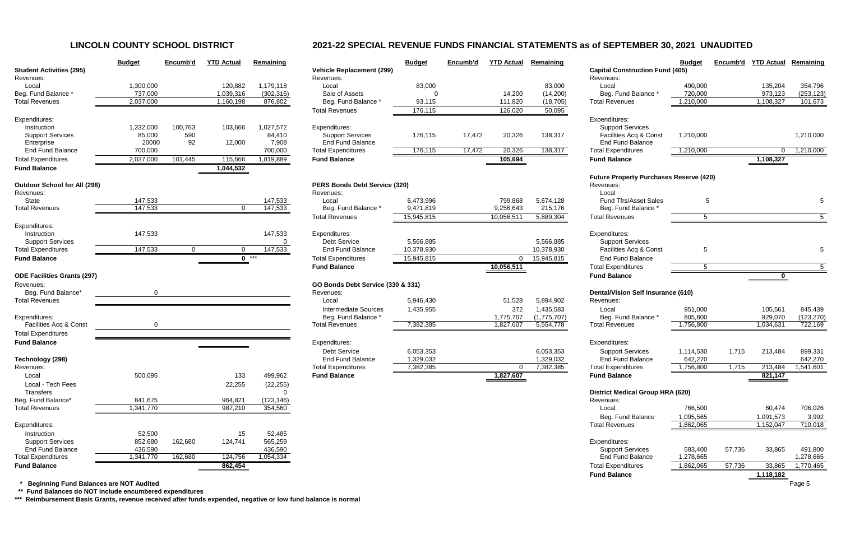# **LINCOLN COUNTY SCHOOL DISTRICT 2021-22 SPECIAL REVENUE FUNDS FINANCIAL STATEMENTS as of SEPTEMBER 30, 2021 UNAUDITED**

|                                                      | <b>Budget</b>        | Encumb'd       | <b>YTD Actual</b> | Remaining            |                                                  | <b>Budget</b>           | Encumb'd | <b>YTD Actual</b>      | <b>Remaining</b>    |                                                      | <b>Budget</b> | Encumb'd | <b>YTD Actual</b> | Remaining            |
|------------------------------------------------------|----------------------|----------------|-------------------|----------------------|--------------------------------------------------|-------------------------|----------|------------------------|---------------------|------------------------------------------------------|---------------|----------|-------------------|----------------------|
| <b>Student Activities (295)</b>                      |                      |                |                   |                      | <b>Vehicle Replacement (299)</b>                 |                         |          |                        |                     | <b>Capital Construction Fund (405)</b>               |               |          |                   |                      |
| Revenues:                                            |                      |                |                   |                      | Revenues:                                        |                         |          |                        |                     | Revenues:                                            |               |          |                   |                      |
| Local                                                | 1,300,000            |                | 120,882           | 1,179,118            | Local                                            | 83,000                  |          |                        | 83,000              | Local                                                | 490,000       |          | 135,204           | 354,796              |
| Beg. Fund Balance *                                  | 737,000              |                | 1,039,316         | (302, 316)           | Sale of Assets                                   |                         |          | 14,200                 | (14,200)            | Beg. Fund Balance                                    | 720,000       |          | 973,123           | (253, 123)           |
| <b>Total Revenues</b>                                | 2,037,000            |                | 1,160,198         | 876,802              | Beg. Fund Balance *<br><b>Total Revenues</b>     | 93,115<br>176,115       |          | 111,820<br>126,020     | (18, 705)<br>50,095 | <b>Total Revenues</b>                                | 1,210,000     |          | 1,108,327         | 101,673              |
| Expenditures:                                        |                      |                |                   |                      |                                                  |                         |          |                        |                     | Expenditures:                                        |               |          |                   |                      |
| Instruction                                          | 1,232,000            | 100,763        | 103,666           | 1,027,572            | Expenditures:                                    |                         |          |                        |                     | <b>Support Services</b>                              |               |          |                   |                      |
| <b>Support Services</b>                              | 85,000               | 590            |                   | 84,410               | <b>Support Services</b>                          | 176,115                 | 17,472   | 20,326                 | 138,317             | Facilities Acq & Const                               | 1,210,000     |          |                   | 1,210,000            |
| Enterprise                                           | 20000                | 92             | 12,000            | 7,908                | <b>End Fund Balance</b>                          |                         |          |                        |                     | <b>End Fund Balance</b>                              |               |          |                   |                      |
| <b>End Fund Balance</b>                              | 700,000              |                |                   | 700,000              | <b>Total Expenditures</b>                        | 176,115                 | 17,472   | 20,326                 | 138,317             | <b>Total Expenditures</b>                            | 1,210,000     |          | 0                 | 1,210,000            |
| <b>Total Expenditures</b>                            | 2,037,000            | 101,445        | 115,666           | 1,819,889            | <b>Fund Balance</b>                              |                         |          | 105,694                |                     | <b>Fund Balance</b>                                  |               |          | 1,108,327         |                      |
| <b>Fund Balance</b>                                  |                      |                | 1,044,532         |                      |                                                  |                         |          |                        |                     |                                                      |               |          |                   |                      |
|                                                      |                      |                |                   |                      |                                                  |                         |          |                        |                     | <b>Future Property Purchases Reserve (420)</b>       |               |          |                   |                      |
| <b>Outdoor School for All (296)</b>                  |                      |                |                   |                      | <b>PERS Bonds Debt Service (320)</b>             |                         |          |                        |                     | Revenues:                                            |               |          |                   |                      |
| Revenues:                                            |                      |                |                   |                      | Revenues:                                        |                         |          |                        |                     | Local                                                |               |          |                   |                      |
| State                                                | 147,533              |                |                   | 147,533              | Local                                            | 6,473,996               |          | 799,868                | 5,674,128           | <b>Fund Tfrs/Asset Sales</b>                         | 5             |          |                   |                      |
| <b>Total Revenues</b>                                | 147,533              |                | 0                 | 147,533              | Beg. Fund Balance *                              | 9,471,819               |          | 9,256,643              | 215,176             | Beg. Fund Balance                                    |               |          |                   |                      |
|                                                      |                      |                |                   |                      | <b>Total Revenues</b>                            | 15,945,815              |          | 10,056,511             | 5,889,304           | <b>Total Revenues</b>                                | 5             |          |                   | 5                    |
| Expenditures:                                        |                      |                |                   |                      |                                                  |                         |          |                        |                     |                                                      |               |          |                   |                      |
| Instruction                                          | 147,533              |                |                   | 147,533              | Expenditures:<br><b>Debt Service</b>             |                         |          |                        |                     | Expenditures:                                        |               |          |                   |                      |
| <b>Support Services</b><br><b>Total Expenditures</b> |                      |                |                   | $\mathbf{0}$         | <b>End Fund Balance</b>                          | 5,566,885<br>10,378,930 |          |                        | 5,566,885           | <b>Support Services</b><br>Facilities Acq & Const    | 5             |          |                   |                      |
|                                                      | 147,533              | $\overline{0}$ | 0                 | 147,533              |                                                  |                         |          |                        | 10,378,930          |                                                      |               |          |                   |                      |
| <b>Fund Balance</b>                                  |                      |                |                   | $0$ ***              | <b>Total Expenditures</b><br><b>Fund Balance</b> | 15,945,815              |          | $\Omega$<br>10,056,511 | 15,945,815          | <b>End Fund Balance</b><br><b>Total Expenditures</b> | 5             |          |                   |                      |
| <b>ODE Facilities Grants (297)</b>                   |                      |                |                   |                      |                                                  |                         |          |                        |                     | <b>Fund Balance</b>                                  |               |          | 0                 |                      |
| Revenues:                                            |                      |                |                   |                      | GO Bonds Debt Service (330 & 331)                |                         |          |                        |                     |                                                      |               |          |                   |                      |
| Beg. Fund Balance*                                   |                      |                |                   |                      | Revenues:                                        |                         |          |                        |                     | <b>Dental/Vision Self Insurance (610)</b>            |               |          |                   |                      |
| <b>Total Revenues</b>                                |                      |                |                   |                      | Local                                            | 5,946,430               |          | 51,528                 | 5,894,902           | Revenues:                                            |               |          |                   |                      |
|                                                      |                      |                |                   |                      | <b>Intermediate Sources</b>                      | 1,435,955               |          | 372                    | 1,435,583           | Local                                                | 951,000       |          | 105,561           | 845,439              |
| Expenditures:                                        |                      |                |                   |                      | Beg. Fund Balance *                              |                         |          | 1,775,707              | (1,775,707)         | Beg. Fund Balance                                    | 805,800       |          | 929,070           | (123, 270)           |
| Facilities Acq & Const                               |                      |                |                   |                      | <b>Total Revenues</b>                            | 7,382,385               |          | 1,827,607              | 5,554,778           | <b>Total Revenues</b>                                | 1,756,800     |          | 1,034,631         | 722,169              |
| <b>Total Expenditures</b>                            |                      |                |                   |                      |                                                  |                         |          |                        |                     |                                                      |               |          |                   |                      |
| <b>Fund Balance</b>                                  |                      |                |                   |                      | Expenditures:                                    |                         |          |                        |                     | Expenditures:                                        |               |          |                   |                      |
|                                                      |                      |                |                   |                      | <b>Debt Service</b>                              | 6,053,353               |          |                        | 6,053,353           | <b>Support Services</b>                              | 1,114,530     | 1,715    | 213,484           | 899,331              |
| Technology (298)                                     |                      |                |                   |                      | <b>End Fund Balance</b>                          | 1,329,032               |          |                        | 1,329,032           | End Fund Balance                                     | 642,270       |          |                   | 642,270              |
| Revenues:                                            |                      |                |                   |                      | <b>Total Expenditures</b>                        | 7,382,385               |          | $\mathbf{0}$           | 7,382,385           | <b>Total Expenditures</b>                            | 1,756,800     | 1,715    | 213,484           | 1,541,601            |
| Local                                                | 500,095              |                | 133               | 499,962              | <b>Fund Balance</b>                              |                         |          | 1,827,607              |                     | <b>Fund Balance</b>                                  |               |          | 821,147           |                      |
| Local - Tech Fees                                    |                      |                | 22,255            | (22, 255)            |                                                  |                         |          |                        |                     |                                                      |               |          |                   |                      |
| Transfers                                            |                      |                |                   | ∩                    |                                                  |                         |          |                        |                     | <b>District Medical Group HRA (620)</b>              |               |          |                   |                      |
| Beg. Fund Balance*                                   | 841,675              |                | 964,821           | (123, 146)           |                                                  |                         |          |                        |                     | Revenues:                                            |               |          |                   |                      |
| <b>Total Revenues</b>                                | 1,341,770            |                | 987,210           | 354,560              |                                                  |                         |          |                        |                     | Local                                                | 766,500       |          | 60,474            | 706,026              |
|                                                      |                      |                |                   |                      |                                                  |                         |          |                        |                     | Beg. Fund Balance                                    | 1,095,565     |          | 1,091,573         | 3,992                |
| Expenditures:                                        |                      |                |                   |                      |                                                  |                         |          |                        |                     | <b>Total Revenues</b>                                | 1,862,065     |          | 1,152,047         | 710,018              |
| Instruction                                          | 52,500               |                | 15                | 52,485               |                                                  |                         |          |                        |                     |                                                      |               |          |                   |                      |
| <b>Support Services</b>                              | 852,680              | 162,680        | 124,741           | 565,259              |                                                  |                         |          |                        |                     | Expenditures:                                        |               |          |                   |                      |
| End Fund Balance<br><b>Total Expenditures</b>        | 436,590<br>1,341,770 | 162,680        | 124,756           | 436,590<br>1,054,334 |                                                  |                         |          |                        |                     | <b>Support Services</b><br>End Fund Balance          | 583,400       | 57,736   | 33,865            | 491,800<br>1,278,665 |
|                                                      |                      |                |                   |                      |                                                  |                         |          |                        |                     |                                                      | 1,278,665     |          |                   |                      |
| <b>Fund Balance</b>                                  |                      |                | 862,454           |                      |                                                  |                         |          |                        |                     | <b>Total Expenditures</b>                            | 1,862,065     | 57,736   | 33,865            | 1,770,465            |
|                                                      |                      |                |                   |                      |                                                  |                         |          |                        |                     | <b>Fund Balance</b>                                  |               |          | 1,118,182         |                      |
| <b>Beginning Fund Balances are NOT Audited</b>       |                      |                |                   |                      |                                                  |                         |          |                        |                     |                                                      |               |          |                   | Page 5               |

|                                     | <b>Budget</b> | Encumb'd | <b>YTD Actual</b> | Remaining  |                                   | <b>Bud</b> |
|-------------------------------------|---------------|----------|-------------------|------------|-----------------------------------|------------|
| <b>Student Activities (295)</b>     |               |          |                   |            | <b>Vehicle Replacement (299)</b>  |            |
| Revenues:                           |               |          |                   |            | Revenues:                         |            |
| Local                               | 1,300,000     |          | 120,882           | 1,179,118  | Local                             | 8          |
| Beg. Fund Balance *                 | 737,000       |          | 1,039,316         | (302, 316) | Sale of Assets                    |            |
| <b>Total Revenues</b>               | 2,037,000     |          | 1,160,198         | 876,802    | Beg. Fund Balance *               | 9          |
|                                     |               |          |                   |            | <b>Total Revenues</b>             | 17         |
| Expenditures:                       |               |          |                   |            |                                   |            |
| Instruction                         | 1,232,000     | 100,763  | 103,666           | 1,027,572  | Expenditures:                     |            |
| <b>Support Services</b>             | 85,000        | 590      |                   | 84,410     | <b>Support Services</b>           | 17         |
| Enterprise                          | 20000         | 92       | 12,000            | 7,908      | <b>End Fund Balance</b>           |            |
| <b>End Fund Balance</b>             | 700,000       |          |                   | 700,000    | <b>Total Expenditures</b>         | 17         |
| <b>Total Expenditures</b>           | 2,037,000     | 101,445  | 115,666           | 1,819,889  | <b>Fund Balance</b>               |            |
| <b>Fund Balance</b>                 |               |          | 1,044,532         |            |                                   |            |
|                                     |               |          |                   |            |                                   |            |
| <b>Outdoor School for All (296)</b> |               |          |                   |            | PERS Bonds Debt Service (320)     |            |
| Revenues:                           |               |          |                   |            | Revenues:                         |            |
| <b>State</b>                        | 147,533       |          |                   | 147,533    | Local                             | 6,47       |
| <b>Total Revenues</b>               | 147,533       |          | 0                 | 147,533    | Beg. Fund Balance *               | 9,47       |
|                                     |               |          |                   |            | <b>Total Revenues</b>             | 15,94      |
| Expenditures:                       |               |          |                   |            |                                   |            |
| Instruction                         | 147,533       |          |                   | 147,533    | Expenditures:                     |            |
| <b>Support Services</b>             |               |          |                   | 0          | <b>Debt Service</b>               | 5,56       |
| <b>Total Expenditures</b>           | 147,533       | 0        | 0                 | 147,533    | <b>End Fund Balance</b>           | 10,37      |
| <b>Fund Balance</b>                 |               |          | 0                 | $***$      | <b>Total Expenditures</b>         | 15,94      |
|                                     |               |          |                   |            | <b>Fund Balance</b>               |            |
| <b>ODE Facilities Grants (297)</b>  |               |          |                   |            |                                   |            |
| Revenues:                           |               |          |                   |            | GO Bonds Debt Service (330 & 331) |            |
| Beg. Fund Balance*                  | 0             |          |                   |            | Revenues:                         |            |
| <b>Total Revenues</b>               |               |          |                   |            | Local                             | 5,94       |
|                                     |               |          |                   |            | <b>Intermediate Sources</b>       | 1,43       |
| Expenditures:                       |               |          |                   |            | Beg. Fund Balance *               |            |
| Facilities Acq & Const              | 0             |          |                   |            | <b>Total Revenues</b>             | 7,38       |
|                                     |               |          |                   |            |                                   |            |
| <b>Total Expenditures</b>           |               |          |                   |            |                                   |            |
| <b>Fund Balance</b>                 |               |          |                   |            | Expenditures:                     |            |
|                                     |               |          |                   |            | <b>Debt Service</b>               | 6,05       |
| Technology (298)                    |               |          |                   |            | <b>End Fund Balance</b>           | 1,32       |
| Revenues:                           |               |          |                   |            | <b>Total Expenditures</b>         | 7,38       |
| Local                               | 500,095       |          | 133               | 499,962    | <b>Fund Balance</b>               |            |
| Local - Tech Fees                   |               |          | 22,255            | (22, 255)  |                                   |            |
| <b>Transfers</b>                    |               |          |                   | 0          |                                   |            |
| Beg. Fund Balance*                  | 841,675       |          | 964,821           | (123, 146) |                                   |            |
| <b>Total Revenues</b>               | 1,341,770     |          | 987,210           | 354,560    |                                   |            |
|                                     |               |          |                   |            |                                   |            |
| Expenditures:                       |               |          |                   |            |                                   |            |
| Instruction                         | 52,500        |          | 15                | 52,485     |                                   |            |
| <b>Support Services</b>             | 852,680       | 162,680  | 124,741           | 565,259    |                                   |            |
| <b>End Fund Balance</b>             | 436,590       |          |                   | 436,590    |                                   |            |
| <b>Total Expenditures</b>           | 1,341,770     | 162,680  | 124,756           | 1,054,334  |                                   |            |
| <b>Fund Balance</b>                 |               |          | 862,454           |            |                                   |            |

 **\*\* Fund Balances do NOT include encumbered expenditures**

**\*\*\* Reimbursement Basis Grants, revenue received after funds expended, negative or low fund balance is normal**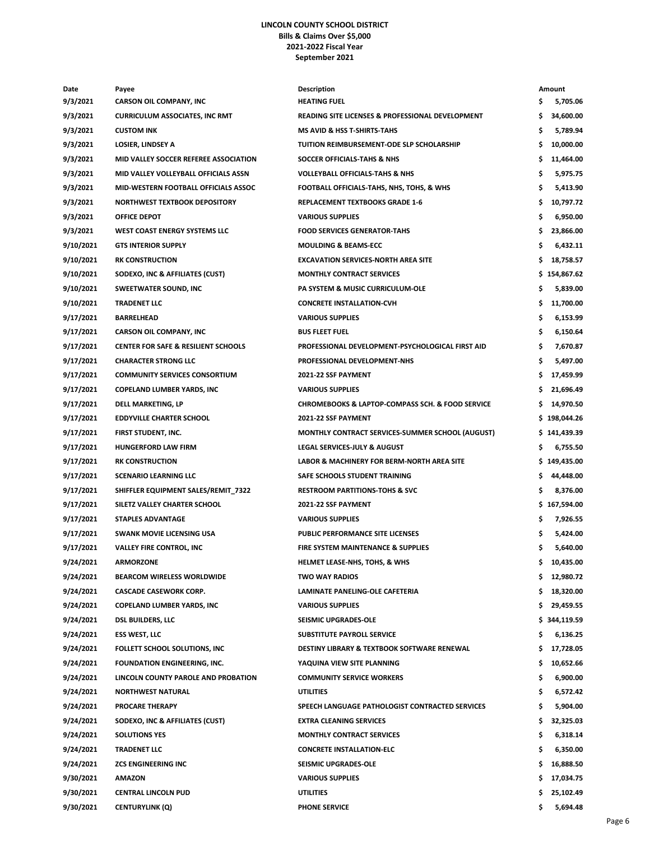## **LINCOLN COUNTY SCHOOL DISTRICT Bills & Claims Over \$5,000 2021-2022 Fiscal Year September 2021**

| Date      | Payee                                          | Description                                           |     | Amount       |
|-----------|------------------------------------------------|-------------------------------------------------------|-----|--------------|
| 9/3/2021  | <b>CARSON OIL COMPANY, INC</b>                 | <b>HEATING FUEL</b>                                   | s   | 5,705.06     |
| 9/3/2021  | <b>CURRICULUM ASSOCIATES, INC RMT</b>          | READING SITE LICENSES & PROFESSIONAL DEVELOPMENT      | \$  | 34,600.00    |
| 9/3/2021  | <b>CUSTOM INK</b>                              | <b>MS AVID &amp; HSS T-SHIRTS-TAHS</b>                | \$  | 5,789.94     |
| 9/3/2021  | <b>LOSIER, LINDSEY A</b>                       | TUITION REIMBURSEMENT-ODE SLP SCHOLARSHIP             | \$  | 10,000.00    |
| 9/3/2021  | MID VALLEY SOCCER REFEREE ASSOCIATION          | <b>SOCCER OFFICIALS-TAHS &amp; NHS</b>                | \$  | 11,464.00    |
| 9/3/2021  | MID VALLEY VOLLEYBALL OFFICIALS ASSN           | <b>VOLLEYBALL OFFICIALS-TAHS &amp; NHS</b>            | \$  | 5,975.75     |
| 9/3/2021  | MID-WESTERN FOOTBALL OFFICIALS ASSOC           | FOOTBALL OFFICIALS-TAHS, NHS, TOHS, & WHS             | \$  | 5,413.90     |
| 9/3/2021  | NORTHWEST TEXTBOOK DEPOSITORY                  | <b>REPLACEMENT TEXTBOOKS GRADE 1-6</b>                | \$  | 10,797.72    |
| 9/3/2021  | <b>OFFICE DEPOT</b>                            | <b>VARIOUS SUPPLIES</b>                               | \$  | 6,950.00     |
| 9/3/2021  | WEST COAST ENERGY SYSTEMS LLC                  | <b>FOOD SERVICES GENERATOR-TAHS</b>                   | \$  | 23,866.00    |
| 9/10/2021 | <b>GTS INTERIOR SUPPLY</b>                     | <b>MOULDING &amp; BEAMS-ECC</b>                       | \$  | 6,432.11     |
| 9/10/2021 | <b>RK CONSTRUCTION</b>                         | <b>EXCAVATION SERVICES-NORTH AREA SITE</b>            | \$. | 18,758.57    |
| 9/10/2021 | SODEXO, INC & AFFILIATES (CUST)                | <b>MONTHLY CONTRACT SERVICES</b>                      |     | \$154,867.62 |
| 9/10/2021 | <b>SWEETWATER SOUND, INC</b>                   | PA SYSTEM & MUSIC CURRICULUM-OLE                      | \$  | 5,839.00     |
| 9/10/2021 | <b>TRADENET LLC</b>                            | <b>CONCRETE INSTALLATION-CVH</b>                      | \$  | 11,700.00    |
| 9/17/2021 | <b>BARRELHEAD</b>                              | <b>VARIOUS SUPPLIES</b>                               | \$  | 6,153.99     |
| 9/17/2021 | <b>CARSON OIL COMPANY, INC</b>                 | <b>BUS FLEET FUEL</b>                                 | \$  | 6,150.64     |
| 9/17/2021 | <b>CENTER FOR SAFE &amp; RESILIENT SCHOOLS</b> | PROFESSIONAL DEVELOPMENT-PSYCHOLOGICAL FIRST AID      | \$  | 7,670.87     |
| 9/17/2021 | <b>CHARACTER STRONG LLC</b>                    | PROFESSIONAL DEVELOPMENT-NHS                          | \$  | 5,497.00     |
| 9/17/2021 | <b>COMMUNITY SERVICES CONSORTIUM</b>           | 2021-22 SSF PAYMENT                                   | \$  | 17,459.99    |
| 9/17/2021 | <b>COPELAND LUMBER YARDS, INC</b>              | <b>VARIOUS SUPPLIES</b>                               |     | 21,696.49    |
| 9/17/2021 | DELL MARKETING, LP                             | CHROMEBOOKS & LAPTOP-COMPASS SCH. & FOOD SERVICE      | \$. | 14,970.50    |
| 9/17/2021 | <b>EDDYVILLE CHARTER SCHOOL</b>                | <b>2021-22 SSF PAYMENT</b>                            |     | \$198,044.26 |
| 9/17/2021 | FIRST STUDENT, INC.                            | MONTHLY CONTRACT SERVICES-SUMMER SCHOOL (AUGUST)      |     | \$141,439.39 |
| 9/17/2021 | <b>HUNGERFORD LAW FIRM</b>                     | <b>LEGAL SERVICES-JULY &amp; AUGUST</b>               | S   | 6,755.50     |
| 9/17/2021 | <b>RK CONSTRUCTION</b>                         | <b>LABOR &amp; MACHINERY FOR BERM-NORTH AREA SITE</b> |     | \$149,435.00 |
| 9/17/2021 | <b>SCENARIO LEARNING LLC</b>                   | SAFE SCHOOLS STUDENT TRAINING                         | \$  | 44,448.00    |
| 9/17/2021 | SHIFFLER EQUIPMENT SALES/REMIT_7322            | <b>RESTROOM PARTITIONS-TOHS &amp; SVC</b>             | \$  | 8,376.00     |
| 9/17/2021 | SILETZ VALLEY CHARTER SCHOOL                   | 2021-22 SSF PAYMENT                                   |     | \$167,594.00 |
| 9/17/2021 | <b>STAPLES ADVANTAGE</b>                       | <b>VARIOUS SUPPLIES</b>                               | \$  | 7,926.55     |
| 9/17/2021 | <b>SWANK MOVIE LICENSING USA</b>               | PUBLIC PERFORMANCE SITE LICENSES                      | \$  | 5,424.00     |
| 9/17/2021 | <b>VALLEY FIRE CONTROL, INC</b>                | <b>FIRE SYSTEM MAINTENANCE &amp; SUPPLIES</b>         | \$  | 5,640.00     |
| 9/24/2021 | <b>ARMORZONE</b>                               | HELMET LEASE-NHS, TOHS, & WHS                         |     | 10,435.00    |
| 9/24/2021 | <b>BEARCOM WIRELESS WORLDWIDE</b>              | TWO WAY RADIOS                                        | \$. | 12,980.72    |
| 9/24/2021 | <b>CASCADE CASEWORK CORP.</b>                  | LAMINATE PANELING-OLE CAFETERIA                       | \$. | 18,320.00    |
| 9/24/2021 | COPELAND LUMBER YARDS, INC                     | <b>VARIOUS SUPPLIES</b>                               | Ş.  | 29,459.55    |
| 9/24/2021 | <b>DSL BUILDERS, LLC</b>                       | <b>SEISMIC UPGRADES-OLE</b>                           |     | \$344,119.59 |
| 9/24/2021 | <b>ESS WEST, LLC</b>                           | SUBSTITUTE PAYROLL SERVICE                            | \$  | 6,136.25     |
| 9/24/2021 | FOLLETT SCHOOL SOLUTIONS, INC.                 | DESTINY LIBRARY & TEXTBOOK SOFTWARE RENEWAL           | Ş.  | 17,728.05    |
| 9/24/2021 | FOUNDATION ENGINEERING, INC.                   | YAQUINA VIEW SITE PLANNING                            | \$  | 10,652.66    |
| 9/24/2021 | LINCOLN COUNTY PAROLE AND PROBATION            | <b>COMMUNITY SERVICE WORKERS</b>                      | \$  | 6,900.00     |
| 9/24/2021 | <b>NORTHWEST NATURAL</b>                       | <b>UTILITIES</b>                                      | \$  | 6,572.42     |
| 9/24/2021 | <b>PROCARE THERAPY</b>                         | SPEECH LANGUAGE PATHOLOGIST CONTRACTED SERVICES       | \$  | 5,904.00     |
| 9/24/2021 | SODEXO, INC & AFFILIATES (CUST)                | EXTRA CLEANING SERVICES                               | \$  | 32,325.03    |
| 9/24/2021 | <b>SOLUTIONS YES</b>                           | <b>MONTHLY CONTRACT SERVICES</b>                      | \$  | 6,318.14     |
| 9/24/2021 | <b>TRADENET LLC</b>                            | <b>CONCRETE INSTALLATION-ELC</b>                      | \$  | 6,350.00     |
| 9/24/2021 | <b>ZCS ENGINEERING INC</b>                     | <b>SEISMIC UPGRADES-OLE</b>                           | Ş.  | 16,888.50    |
| 9/30/2021 | <b>AMAZON</b>                                  | <b>VARIOUS SUPPLIES</b>                               | \$  | 17,034.75    |
| 9/30/2021 | <b>CENTRAL LINCOLN PUD</b>                     | UTILITIES                                             |     | 25,102.49    |
| 9/30/2021 | <b>CENTURYLINK (Q)</b>                         | <b>PHONE SERVICE</b>                                  | Ś   | 5,694.48     |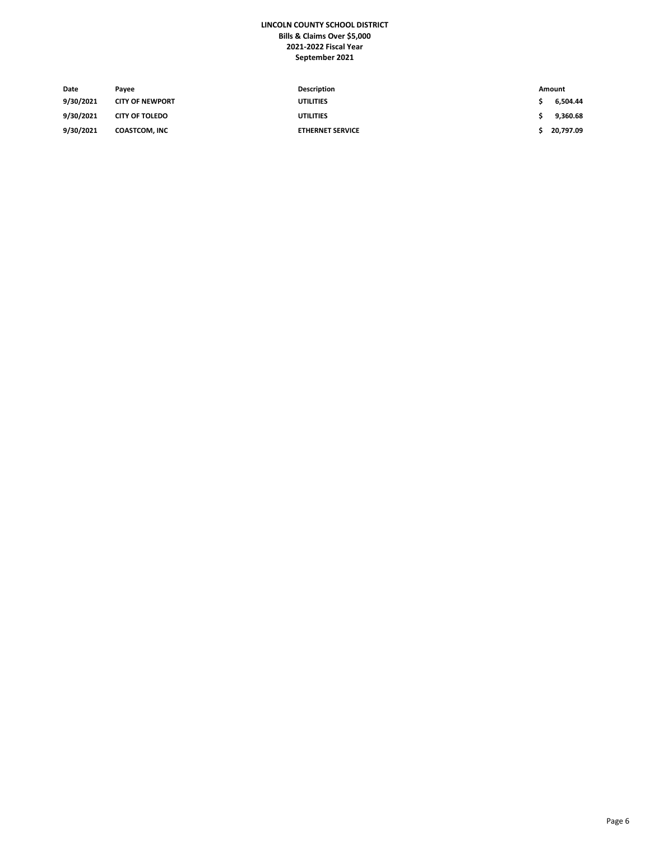## **LINCOLN COUNTY SCHOOL DISTRICT Bills & Claims Over \$5,000 2021-2022 Fiscal Year September 2021**

| Date      | Pavee                  | Description             | Amount    |
|-----------|------------------------|-------------------------|-----------|
| 9/30/2021 | <b>CITY OF NEWPORT</b> | <b>UTILITIES</b>        | 6.504.44  |
| 9/30/2021 | <b>CITY OF TOLEDO</b>  | <b>UTILITIES</b>        | 9.360.68  |
| 9/30/2021 | <b>COASTCOM, INC</b>   | <b>ETHERNET SERVICE</b> | 20.797.09 |